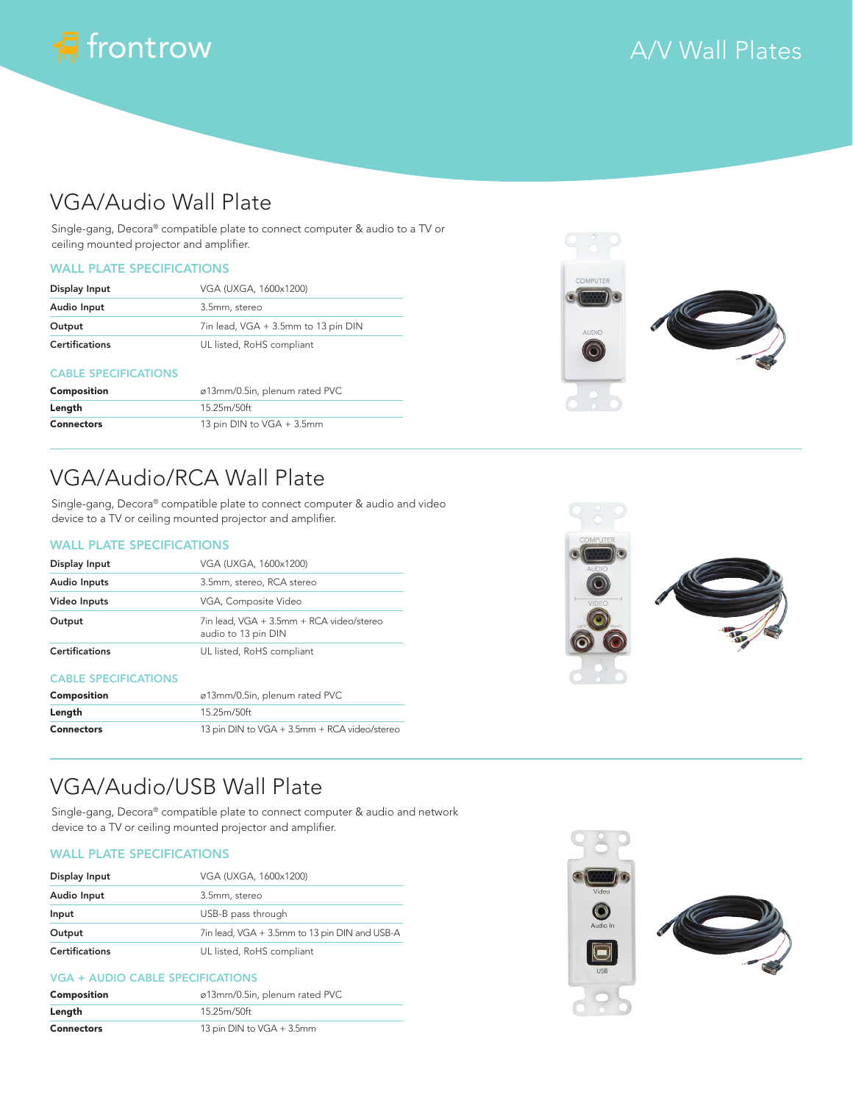

# A/V Wall Plates

## VGA/Audio Wall Plate

Single-gang, Decora® compatible plate to connect computer & audio to a TV or ceiling mounted projector and amplifier.

### WALL PLATE SPECIFICATIONS

| Display Input         | VGA (UXGA, 1600x1200)               |
|-----------------------|-------------------------------------|
| Audio Input           | 3.5mm, stereo                       |
| Output                | 7in lead, VGA + 3.5mm to 13 pin DIN |
| <b>Certifications</b> | UL listed, RoHS compliant           |

#### CABLE SPECIFICATIONS

| Composition       | ø13mm/0.5in, plenum rated PVC |
|-------------------|-------------------------------|
| Length            | 15.25m/50ft                   |
| <b>Connectors</b> | 13 pin DIN to VGA + 3.5mm     |



# VGA/Audio/RCA Wall Plate

Single-gang, Decora® compatible plate to connect computer & audio and video device to a TV or ceiling mounted projector and amplifier.

### WALL PLATE SPECIFICATIONS

| Display Input         | VGA (UXGA, 1600x1200)                                           |
|-----------------------|-----------------------------------------------------------------|
| <b>Audio Inputs</b>   | 3.5mm, stereo, RCA stereo                                       |
| Video Inputs          | VGA, Composite Video                                            |
| Output                | 7in lead, VGA + 3.5mm + RCA video/stereo<br>audio to 13 pin DIN |
| <b>Certifications</b> | UL listed, RoHS compliant                                       |

#### CABLE SPECIFICATIONS

| Composition | ø13mm/0.5in, plenum rated PVC                |
|-------------|----------------------------------------------|
| Length      | 15.25m/50ft                                  |
| Connectors  | 13 pin DIN to VGA + 3.5mm + RCA video/stereo |



## VGA/Audio/USB Wall Plate

Single-gang, Decora® compatible plate to connect computer & audio and network device to a TV or ceiling mounted projector and amplifier.

### WALL PLATE SPECIFICATIONS

| Display Input         | VGA (UXGA, 1600x1200)                         |
|-----------------------|-----------------------------------------------|
| Audio Input           | 3.5mm, stereo                                 |
| Input                 | USB-B pass through                            |
| Output                | 7in lead, VGA + 3.5mm to 13 pin DIN and USB-A |
| <b>Certifications</b> | UL listed, RoHS compliant                     |

#### VGA + AUDIO CABLE SPECIFICATIONS

| Composition       | ø13mm/0.5in, plenum rated PVC |
|-------------------|-------------------------------|
| Length            | 15.25m/50ft                   |
| <b>Connectors</b> | 13 pin DIN to VGA + 3.5mm     |